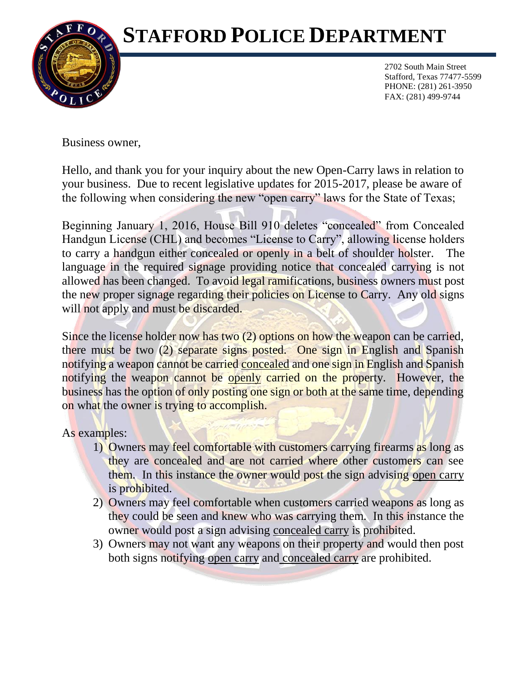## **STAFFORD POLICE DEPARTMENT**



2702 South Main Street Stafford, Texas 77477-5599 PHONE: (281) 261-3950 FAX: (281) 499-9744

Business owner,

Hello, and thank you for your inquiry about the new Open-Carry laws in relation to your business. Due to recent legislative updates for 2015-2017, please be aware of the following when considering the new "open carry" laws for the State of Texas;

Beginning January 1, 2016, House Bill 910 deletes "concealed" from Concealed Handgun License (CHL) and becomes "License to Carry", allowing license holders to carry a handgun either concealed or openly in a belt of shoulder holster. The language in the required signage providing notice that concealed carrying is not allowed has been changed. To avoid legal ramifications, business owners must post the new proper signage regarding their policies on License to Carry. Any old signs will not apply and must be discarded.

Since the license holder now has two (2) options on how the weapon can be carried, there must be two (2) separate signs posted. One sign in English and Spanish notifying a weapon cannot be carried concealed and one sign in English and Spanish notifying the weapon cannot be openly carried on the property. However, the business has the option of only posting one sign or both at the same time, depending on what the owner is trying to accomplish.

As examples:

- 1) Owners may feel comfortable with customers carrying firearms as long as they are concealed and are not carried where other customers can see them. In this instance the owner would post the sign advising open carry is prohibited.
- 2) Owners may feel comfortable when customers carried weapons as long as they could be seen and knew who was carrying them. In this instance the owner would post a sign advising concealed carry is prohibited.
- 3) Owners may not want any weapons on their property and would then post both signs notifying open carry and concealed carry are prohibited.